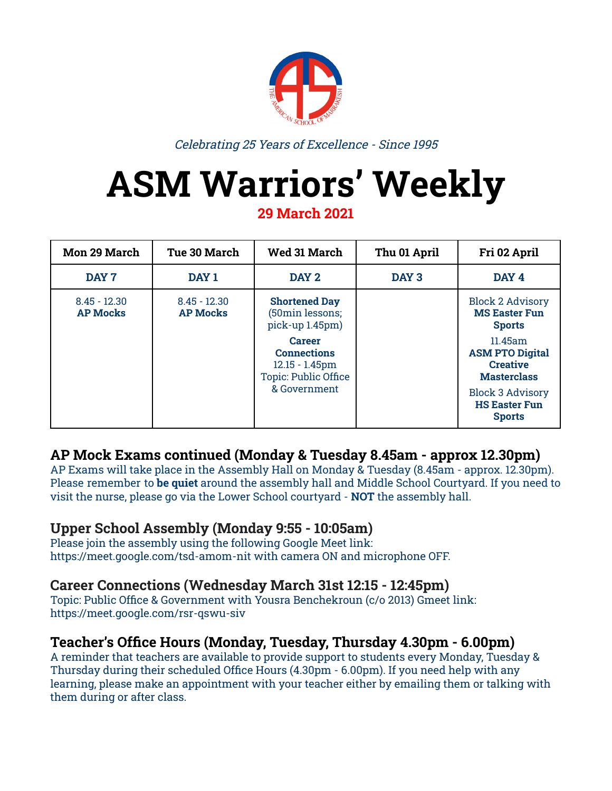

Celebrating 25 Years of Excellence - Since 1995

# **ASM Warriors' Weekly**

**29 March 2021**

| <b>Mon 29 March</b>               | Tue 30 March                      | <b>Wed 31 March</b>                                                              | Thu 01 April     | Fri 02 April                                                               |
|-----------------------------------|-----------------------------------|----------------------------------------------------------------------------------|------------------|----------------------------------------------------------------------------|
| DAY 7                             | DAY 1                             | DAY 2                                                                            | DAY <sub>3</sub> | DAY 4                                                                      |
| $8.45 - 12.30$<br><b>AP Mocks</b> | $8.45 - 12.30$<br><b>AP Mocks</b> | <b>Shortened Day</b><br>(50min lessons;<br>pick-up 1.45pm)                       |                  | <b>Block 2 Advisory</b><br><b>MS Easter Fun</b><br><b>Sports</b>           |
|                                   |                                   | <b>Career</b><br><b>Connections</b><br>$12.15 - 1.45$ pm<br>Topic: Public Office |                  | 11.45am<br><b>ASM PTO Digital</b><br><b>Creative</b><br><b>Masterclass</b> |
|                                   |                                   | & Government                                                                     |                  | <b>Block 3 Advisory</b><br><b>HS Easter Fun</b><br><b>Sports</b>           |

## **AP Mock Exams continued (Monday & Tuesday 8.45am - approx 12.30pm)**

AP Exams will take place in the Assembly Hall on Monday & Tuesday (8.45am - approx. 12.30pm). Please remember to **be quiet** around the assembly hall and Middle School Courtyard. If you need to visit the nurse, please go via the Lower School courtyard - **NOT** the assembly hall.

#### **Upper School Assembly (Monday 9:55 - 10:05am)**

Please join the assembly using the following Google Meet link[:](https://meet.google.com/tsd-amom-nit) <https://meet.google.com/tsd-amom-nit> with camera ON and microphone OFF.

## **Career Connections (Wednesday March 31st 12:15 - 12:45pm)**

Topic: Public Office & Government with Yousra Benchekroun (c/o 2013) Gmeet link: <https://meet.google.com/rsr-qswu-siv>

#### **Teacher's Office Hours (Monday, Tuesday, Thursday 4.30pm - 6.00pm)**

A reminder that teachers are available to provide support to students every Monday, Tuesday & Thursday during their scheduled Office Hours (4.30pm - 6.00pm). If you need help with any learning, please make an appointment with your teacher either by emailing them or talking with them during or after class.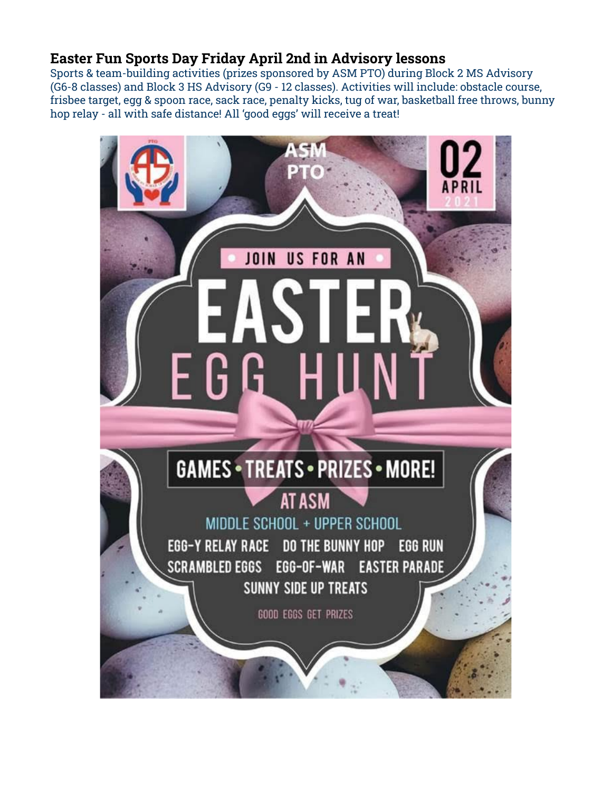## **Easter Fun Sports Day Friday April 2nd in Advisory lessons**

Sports & team-building activities (prizes sponsored by ASM PTO) during Block 2 MS Advisory (G6-8 classes) and Block 3 HS Advisory (G9 - 12 classes). Activities will include: obstacle course, frisbee target, egg & spoon race, sack race, penalty kicks, tug of war, basketball free throws, bunny hop relay - all with safe distance! All 'good eggs' will receive a treat!

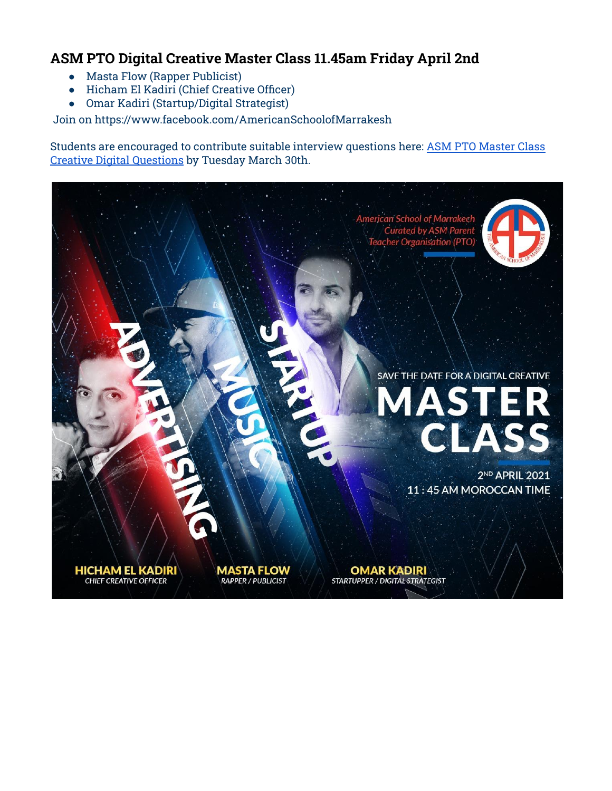## **ASM PTO Digital Creative Master Class 11.45am Friday April 2nd**

- Masta Flow (Rapper Publicist)
- Hicham El Kadiri (Chief Creative Officer)
- Omar Kadiri (Startup/Digital Strategist)

Join on <https://www.facebook.com/AmericanSchoolofMarrakesh>

Students are encouraged to contribute suitable interview questions here: ASM PTO [Master](https://docs.google.com/document/d/1chJelxNGFNTFRSvSJvjGjRs6bAO_YdUDdhSiemJr-2A/edit?usp=sharing) Class Creative Digital [Questions](https://docs.google.com/document/d/1chJelxNGFNTFRSvSJvjGjRs6bAO_YdUDdhSiemJr-2A/edit?usp=sharing) by Tuesday March 30th.